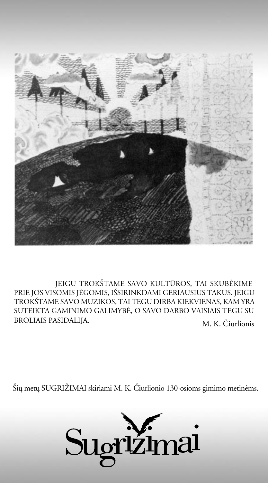

M. K. Èiurlionis JEIGU TROKŠTAME SAVO KULTŪROS, TAI SKUBĖKIME PRIE JOS VISOMIS JĖGOMIS, IŠSIRINKDAMI GERIAUSIUS TAKUS. JEIGU TROKÐTAME SAVO MUZIKOS, TAI TEGU DIRBA KIEKVIENAS, KAM YRA SUTEIKTA GAMINIMO GALIMYBË, O SAVO DARBO VAISIAIS TEGU SU BROLIAIS PASIDALIJA.

Šių metų SUGRIŽIMAI skiriami M. K. Čiurlionio 130-osioms gimimo metinėms.

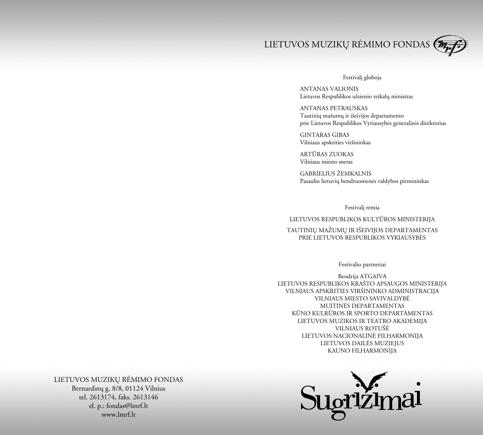

## Festivali globoja

ANTANAS VALIONIS Lietuvos Respublikos užsienio reikalų ministras

ANTANAS PETRAUSKAS Tautinių mažumų ir išeivijos departamento prie Lietuvos Respublikos Vyriausybës generalinis direktorius

GINTARAS GIBAS Vilniaus apskrities viršininkas

ARTÛRAS ZUOKAS Vilniaus miesto meras

GABRIELIUS ŽEMKALNIS Pasaulio lietuvių bendruomenės valdybos pirmininkas

Festivali remia

## LIETUVOS RESPUBLIKOS KULTÛROS MINISTERIJA

# TAUTINIŲ MAŽUMŲ IR IŠEIVIJOS DEPARTAMENTAS PRIE LIETUVOS RESPUBLIKOS VYRIAUSYBËS

## Festivalio partneriai

Bendrija ATGAIVA LIETUVOS RESPUBLIKOS KRAŠTO APSAUGOS MINISTERIJA VILNIAUS APSKRITIES VIRÐININKO ADMINISTRACIJA VILNIAUS MIESTO SAVIVALDYBË MUITINËS DEPARTAMENTAS KÛNO KULRÛROS IR SPORTO DEPARTAMENTAS LIETUVOS MUZIKOS IR TEATRO AKADEMIJA VILNIAUS ROTUŠĖ LIETUVOS NACIONALINË FILHARMONIJA LIETUVOS DAILËS MUZIEJUS KAUNO FILHARMONIJA



# LIETUVOS MUZIKØ RËMIMO FONDAS Bernardinø g. 8/8, 01124 Vilnius

tel. 2613174, faks. 2613146 el. p.: fondas@lmrf.lt www.lmrf.lt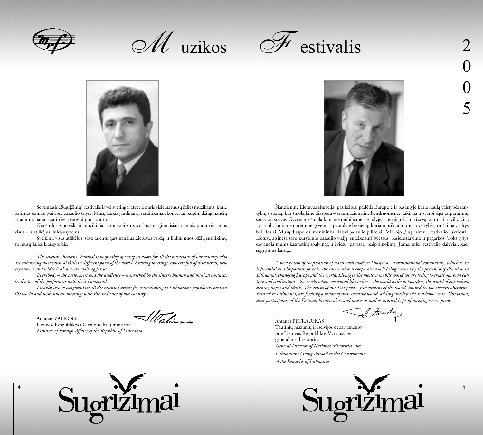

 $\mathscr{M}$  uzikos





Septintasis "Sugrižimu" festivalis ir vėl svetingai atveria duris visiems mūsų šalies muzikams, kurie patirties semiasi jvairiose pasaulio šalyse. Mūsų laukia jaudinantys susitikimai, koncertai, kupini džiuginančių atradimų, naujos patirties, platesnių horizontų.

Nuoširdūs žmogiški ir muzikiniai kontaktai su savo kraštu, gimtaisiais namais praturtina mus visus – ir atlikëjus, ir klausytojus.

Sveikinu visus atlikėjus, savo talentu garsinančius Lietuvos vardą, ir linkiu nuoširdžių susitikimų su mûsø ðalies klausytojais.

*The seventh "Returns" Festival is hospitably opening its doors for all the musicians of our country who are enhancing their musical skills in different parts of the world. Exciting meetings, concerts full of discoveries, new experience and wider horizons are waiting for us.*

*Everybody – the performers and the audience – is enriched by the sincere human and musical contacts, by the ties of the performers with their homeland.*

*I would like to congratulate all the talented artists for contributing to Lithuania's popularity around the world and wish sincere meetings with the audience of our country.*

Antanas VALIONIS Lietuvos Respublikos užsienio reikalų ministras *Minister of Foreign Affairs of the Republic of Lithuania*

4

Hali-





Šiandieninė Lietuvos situacija, pasikeitusi padėtis Europoje ir pasaulyje kuria naują valstybės santykių sistema, kur šiuolaikinė diaspora – transnacionalinė bendruomenė, itakinga ir svarbi jėga tarptautinių santykių srityje. Gyvename šiuolaikiniame mobiliame pasaulyje, stengiamės kurti savą kultūrą ir civilizaciją, - pasaulá, kuriame norëtume gyventi – pasaulyje be sienø, kuriam priklauso mûsø vertybës, troðkimai, viltys bei idealai. Mūsų diasporos menininkai, laisvi pasaulio piliečiai, VII-ojo "Sugrįžimų" festivalio sukviesti į Lietuvą atsineša savo kūrybinio pasaulio viziją, suteikdami šviesaus pasididžiavimo ir pagarbos. Toks ryšys dovanoja mums kasmetinį spalvingą ir šviesų pavasarį, kaip žinojimą Jums, mieli festivalio dalyviai, kad sugrišit ne kartą...

*A new system of cooperation of states with modern Diaspora - a transnational community, which is an influential and important force in the international cooperation – is being created by the present day situation in Lithuania, changing Europe and the world. Living in the modern mobile world we are trying to create our own culture and civilization – the world where we would like to live – the world without boarders, the world of our values, desires, hopes and ideals. The artists of our Diaspora – free citizens of the world, invited by the seventh "Returns" Festival to Lithuania, are fetching a vision of their creative world, adding much pride and honor to it. This vision, dear participants of the Festival, brings colors and music as well as mutual hope of meeting every spring…* 

Antanas PETRAUSKAS Tautinių mažumų ir išeivijos departamento prie Lietuvos Respublikos Vyriausybës generalinis direktorius *General Director of National Minorities and Lithuanians Living Abroad to the Government of the Republic of Lithuania* 



5

0

0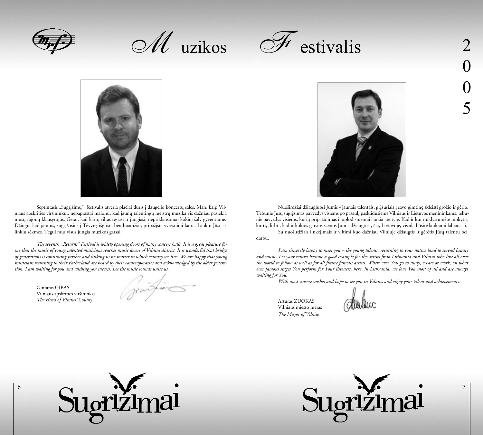

M uzikos





Septintasis "Sugrįžimų" festivalis atveria plačiai duris į daugelio koncertų sales. Man, kaip Vilniaus apskrities viršininkui, nepaprastai malonu, kad jaunų talentingų meistrų muzika vis dažniau pasiekia mūsų rajonų klausytojus. Gerai, kad kartų tiltas tęsiasi ir jungiasi, nepriklausomai kokioj šaly gyventume. Džiugu, kad jaunus, sugrįžusius į Tėvynę išgirsta bendraamžiai, pripažista vyresnioji karta. Laukiu Jūsų ir linkiu sëkmës. Tegul mus visus jungia muzikos garsai.

*The seventh ,,Returns" Festival is widely opening doors of many concert halls. It is a great pleasure for me that the music of young talented musicians reaches music lovers of Vilnius district. It is wonderful that bridge of generations is continuing further and linking us no matter in which country we live. We are happy that young musicians returning to their Fatherland are heard by their contemporaries and acknowledged by the older generation. I am waiting for you and wishing you success. Let the music sounds unite us.*

Gintaras GIBAS Vilniaus apskrities virðininkas *The Head of Vilnius' County*

6

Grinfing



Nuoširdžiai džiaugiuosi Jumis - jaunais talentais, grižusiais i savo gimtine skleisti grožio ir gėrio. Tebūnie Jūsų sugrįžimas pavyzdys visiems po pasaulį pasklidusiems Vilniaus ir Lietuvos menininkams, tebūnie pavyzdys visiems, kurių pripažinimas ir aplodismentai laukia ateityje. Kad ir kur nuklystumėte mokytis, kurti, dirbti, kad ir kokios garsios scenos Jumis džiaugtųsi, čia, Lietuvoje, visada būsite laukiami labiausiai.

Su nuoširdžiais linkėjimais ir viltimi kuo dažniau Vilniuje džiaugtis ir gėrėtis Jūsų talentu bei darbu.

*I am sincerely happy to meet you – the young talents, returning to your native land to spread beauty and music. Let your return become a good example for the artists from Lithuania and Vilnius who live all over the world to follow as well as for all future famous artists. Where ever You go to study, create or work, on what ever famous stages You perform for Your listeners, here, in Lithuania, we love You most of all and are always waiting for You.*

*With most sincere wishes and hope to see you in Vilnius and enjoy your talent and achievements.*

Artûras ZUOKAS Vilniaus miesto meras *The Mayor of Vilnius*





7

0

0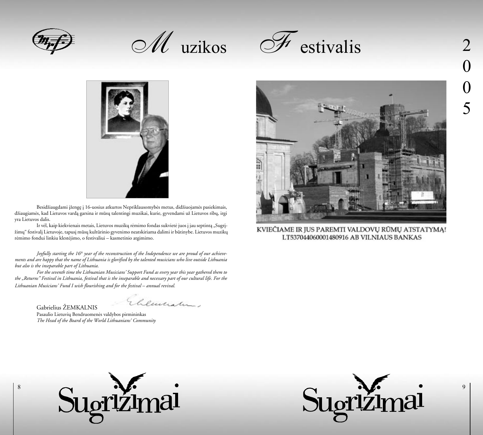

M uzikos





Besidžiaugdami įžengę į 16-uosius atkurtos Nepriklausomybės metus, didžiuojamės pasiekimais, džiaugiamės, kad Lietuvos vardą garsina ir mūsų talentingi muzikai, kurie, gyvendami už Lietuvos ribų, irgi yra Lietuvos dalis.

Ir vėl, kaip kiekvienais metais, Lietuvos muzikų rėmimo fondas sukvietė juos į jau septintą "Sugrįþimø" festivalá Lietuvoje, tapusá mûsø kultûrinio gyvenimo neatskiriama dalimi ir bûtinybe. Lietuvos muzikø rëmimo fondui linkiu klestëjimo, o festivaliui – kasmetinio atgimimo.

*Joyfully starting the 16<sup>th</sup> year of the reconstruction of the Independence we are proud of our achievements and are happy that the name of Lithuania is glorified by the talented musicians who live outside Lithuania but also is the inseparable part of Lithuania.*

 *For the seventh time the Lithuanian Musicians' Support Fund as every year this year gathered them to the "Returns" Festival in Lithuania, festival that is the inseparable and necessary part of our cultural life. For the Lithuanian Musicians' Fund I wish flourishing and for the festival – annual revival.*

Gabrielius ŽEMKALNIS

Elementur.

Pasaulio Lietuvių Bendruomenės valdybos pirmininkas  *The Head of the Board of the World Lithuanians' Community*



KVIEČIAME IR JUS PAREMTI VALDOVŲ RŪMŲ ATSTATYMĄ! LT537044060001480916 AB VILNIAUS BANKAS



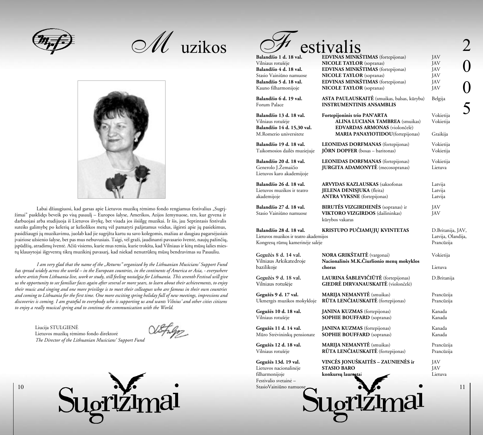M uzikos



Labai džiaugiuosi, kad garsas apie Lietuvos muzikų rėmimo fondo rengiamus festivalius "Sugrįžimai" pasklidęs beveik po visą pasaulį – Europos šalyse, Amerikos, Azijos žemynuose, ten, kur gyvena ir darbuojasi arba studijuoja iš Lietuvos išvykę, bet visada jos išsiilgę muzikai. Ir šis, jau Septintasis festivalis suteiks galimybę po kelerių ar keliolikos metų vėl pamatyti pažįstamus veidus, išgirsti apie jų pasiekimus, pasidžiaugti jų muzikavimu, juolab kad jie sugrįžta kartu su savo kolegomis, mažiau ar daugiau pagarsėjusiais įvairiose užsienio šalyse, bet pas mus nebuvusiais. Taigi, vėl graži, jaudinanti pavasario šventė, naujų pažinčių, jspūdžių, atradimų šventė. Ačiū visiems, kurie mus remia, kurie trokšta, kad Vilniaus ir kitų mūsų šalies miestų klausytojai išgyventų tikrą muzikinį pavasarį, kad niekad nenutrūktų mūsų bendravimas su Pasauliu.

*I am very glad that the name of the "Returns" organized by the Lithuanian Musicians' Support Fund has spread widely across the world – in the European countries, in the continents of America or Asia, - everywhere where artists from Lithuania live, work or study, still feeling nostalgia for Lithuania. This seventh Festival will give us the opportunity to see familiar faces again after several or more years, to learn about their achievements, to enjoy their music and singing and one more privilege is to meet their colleagues who are famous in their own countries and coming to Lithuania for the first time. One more exciting spring holiday full of new meetings, impressions and discoveries is coming. I am grateful to everybody who is supporting us and wants Vilnius' and other cities citizens to enjoy a really musical spring and to continue the communication with the World.* 

Liucija STULGIENË Lietuvos muzikų rėmimo fondo direktorė *The Director of the Lithuanian Musicians' Support Fund*

10



|                                                      | estivalis                                                                             |                        |
|------------------------------------------------------|---------------------------------------------------------------------------------------|------------------------|
| Balandžio 1 d. 18 val.                               | <b>EDVINAS MINKŠTIMAS</b> (fortepijonas)                                              | JAV                    |
| Vilniaus rotušėje                                    | <b>NICOLE TAYLOR</b> (sopranas)                                                       | JAV                    |
| Balandžio 4 d. 18 val.<br>Stasio Vainiūno namuose    | <b>EDVINAS MINKŠTIMAS</b> (fortepijonas)<br><b>NICOLE TAYLOR</b> (sopranas)           | JAV                    |
| Balandžio 5 d. 18 val.                               | <b>EDVINAS MINKŠTIMAS</b> (fortepijonas)                                              | JAV<br>JAV             |
| Kauno filharmonijoje                                 | <b>NICOLE TAYLOR</b> (sopranas)                                                       | JAV                    |
| Balandžio 6 d. 19 val.<br>Forum Palace               | <b>ASTA PAULAUSKAITĖ</b> (smuikas, balsas, kūryba)<br><b>INSTRUMENTINIS ANSAMBLIS</b> | Belgija                |
| Balandžio 13 d. 18 val.<br>Vilniaus rotušėje         | Fortepijoninis trio PAN'ARTA<br><b>ALINA LUCIANA TAMBREA</b> (smuikas)                | Vokietija<br>Vokietija |
| Balandžio 14 d. 15,30 val.<br>M.Romerio universitete | EDVARDAS ARMONAS (violončelė)<br><b>MARIA PANAYIOTIDOU</b> (fortepijonas)             | Graikija               |
| Balandžio 19 d. 18 val.                              | <b>LEONIDAS DORFMANAS</b> (fortepijonas)                                              | Vokietija              |
| Taikomosios dailės muziejuje                         | <b>JÖRN DOPFER</b> (bosas – baritonas)                                                | Vokietija              |
| Balandžio 20 d. 18 val.                              | <b>LEONIDAS DORFMANAS</b> (fortepijonas)                                              | Vokietija              |
| Generolo J.Žemaičio<br>Lietuvos karo akademijoje     | <b>JURGITA ADAMONYTĖ</b> (mecosopranas)                                               | Lietuva                |
| Balandžio 26 d. 18 val.                              | <b>ARVYDAS KAZLAUSKAS</b> (saksofonas                                                 | Latvija                |
| Lietuvos muzikos ir teatro                           | <b>JELENA DENISJUKA</b> (fleita)                                                      | Latvija                |
| akademijoje                                          | <b>ANTRA VYKSNE</b> (fortepijonas)                                                    | Latvija                |
| Balandžio 27 d. 18 val.                              | <b>BIRUTĖS VIZGIRDIENĖS</b> (sopranas) ir                                             | JAV                    |
| Stasio Vainiūno namuose                              | <b>VIKTORO VIZGIRDOS</b> (dailininkas)<br>kūrybos vakaras                             | JAV                    |
| Balandžio 28 d. 18 val.                              | KRISTUPO PUČIAMŲJŲ KVINTETAS                                                          | D.Britanija, JAV,      |
| Lietuvos muzikos ir teatro akademijos                |                                                                                       | Latvija, Olandija,     |
| Kongresų rūmų kamerinėje salėje                      |                                                                                       | Prancūzija             |
| Gegužės 8 d. 14 val.                                 | <b>NORA GRIKŠTAITĖ</b> (vargonai)                                                     | Vokietija              |
| Vilniaus Arkikatedroje                               | Nacionalinės M.K.Čiurlionio menų mokyklos                                             |                        |
| bazilikoje                                           | choras                                                                                | Lietuva                |
| Gegužės 9 d. 18 val.<br>Vilniaus rotušėje            | LAURINA ŠABLEVIČIŪTĖ (fortepijonas)<br>GIEDRĖ DIRVANAUSKAITĖ (violončelė)             | D.Britanija            |
| Gegužės 9 d. 17 val.                                 | <b>MARIJA NEMANYTĖ</b> (smuikas)                                                      | Prancūzija             |
| Ukmergės muzikos mokykloje                           | RŪTA LENČIAUSKAITĖ (fortepijonas)                                                     | Prancūzija             |
| Gegužės 10 d. 18 val.                                | <b>JANINA KUZMAS</b> (fortepijonas)                                                   | Kanada                 |
| Vilniaus rotušėje                                    | <b>SOPHIE BOUFFARD</b> (sopranas)                                                     | Kanada                 |
| Gegužės 11 d. 14 val.                                | <b>JANINA KUZMAS</b> (fortepijonas)                                                   | Kanada                 |
| Mūro Strėvininkų pensionate                          | <b>SOPHIE BOUFFARD</b> (sopranas)                                                     | Kanada                 |
| Gegužės 12 d. 18 val.                                | <b>MARIJA NEMANYTĖ</b> (smuikas)                                                      | Prancūzija             |
| Vilniaus rotušėje                                    | RŪTA LENČIAUSKAITĖ (fortepijonas)                                                     | Prancūzija             |
| Gegužės 13d. 19 val.                                 | VINCĖS JONUŠKAITĖS – ZAUNIENĖS ir                                                     | JAV                    |
| Lietuvos nacionalinėje<br>filharmonijoje             | <b>STASIO BARO</b><br>konkursų laurestai                                              | JAV<br>Lietuva         |
| Festivalio svetainė -                                |                                                                                       |                        |
| Stasio Vainiūno namuose                              |                                                                                       | 11                     |
|                                                      |                                                                                       |                        |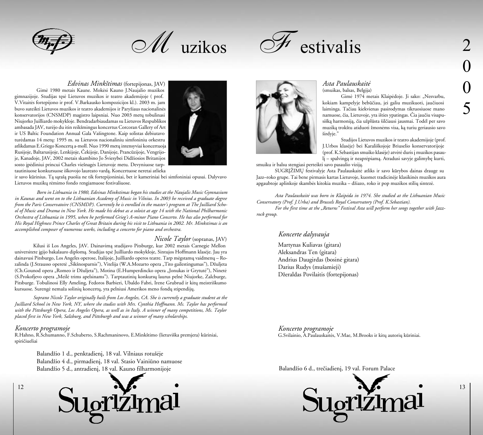

 $\mathscr{M}$  uzikos



### *Edvinas Minkðtimas* (fortepijonas, JAV)

Gimë 1980 metais Kaune. Mokësi Kauno J.Naujalio muzikos gimnazijoje. Studijas tæsë Lietuvos muzikos ir teatro akademijoje ( prof. V.Vitaitës fortepijono ir prof. V.Barkausko kompozicijos kl.). 2003 m. jam buvo suteikti Lietuvos muzikos ir teatro akademijos ir Paryžiaus nacionalinės konservatorijos (CNSMDP) magistro laipsniai. Nuo 2003 metų tobulinasi Niujorko Juilliardo mokykloje. Bendradarbiaudamas su Lietuvos Respublikos ambasada JAV, turëjo du itin reikðmingus koncertus Corcoran Gallery of Art ir US Baltic Foundation Annual Gala Vaðingtone. Kaip solistas debiutavo turėdamas 14 metu: 1995 m. su Lietuvos nacionaliniu simfoniniu orkestru atlikdamas E.Griego Koncerta a-moll. Nuo 1990 metų intensyviai koncertuoja Rusijoje, Baltarusijoje, Lenkijoje, Èekijoje, Danijoje, Prancûzijoje, Vengrijoje, Kanadoje, JAV, 2002 metais skambino Jo Šviesybei Didžiosios Britanijos sosto įpėdiniui princui Charles viešnagės Lietuvoje metu. Devyniuose tarptautiniuose konkursuose iðkovojo laureato vardà. Koncertuose neretai atlieka



ir savo kûrinius. Tà sàraðà puoðia ne tik fortepijoniniai, bet ir kameriniai bei simfoniniai opusai. Dalyvavo Lietuvos muzikø rëmimo fondo rengiamuose festivaliuose.

*Born in Lithuania in 1980, Edvinas Minkstimas began his studies at the Naujalis Music Gymnasium in Kaunas and went on to the Lithuanian Academy of Music in Vilnius. In 2003 he received a graduate degree from the Paris Conservatoire (CNSMDP). Currently he is enrolled in the master's program at The Juilliard School of Music and Drama in New York. He made his debut as a soloist at age 14 with the National Philharmonic Orchestra of Lithuania in 1995, when he performed Grieg's A-minor Piano Concerto. He has also performed for His Royal Highness Prince Charles of Great Britain during his visit to Lithuania in 2002. Mr. Minkstimas is an accomplished composer of numerous works, including a concerto for piano and orchestra.*

### *Nicole Taylor* (sopranas, JAV)

Kilusi ið Los Angeles, JAV. Dainavimà studijavo Pitsburge, kur 2002 metais Carnegie Mellon universitete ágijo bakalauro diplomà. Studijas tæsë Juilliardo mokykloje, Sintujos Hoffmann klasëje. Jau yra dainavusi Pitsburgo, Los Angeles operose, Italijoje, Juilliardo operos teatre. Tarp mėgstamų vaidmenų – Rozalinda (J.Strausso operetė "Šikšnosparnis"), Vitelija (W.A.Mozarto opera "Tito gailestingumas"), Džuljeta (Ch.Gounod opera "Romeo ir Džuljeta"), Motina (E.Humperdincko opera "Jonukas ir Grytutė"), Ninetė (S.Prokofjevo opera "Meilë trims apelsinams"). Tarptautiniø konkursø laurus pelnë Niujorke, Zalcburge, Pitsburge. Tobulinosi Elly Ameling, Fedoros Barbieri, Ubaldo Fabri, Irene Grubrud ir kitų meistriškumo kursuose. Surengė nemaža solinių koncertų, yra pelniusi Amerikos meno fondų stipendijų.

*Soprano Nicole Taylor originally hails from Los Angeles, CA. She is currently a graduate student at the Juilliard School in New York, NY, where she studies with Mrs. Cynthia Hoffmann. Ms. Taylor has performed with the Pittsburgh Opera, Los Angeles Opera, as well as in Italy. A winner of many competitions, Ms. Taylor placed first in New York, Salzburg, and Pittsburgh and was a winner of many scholarships.*

### *Koncerto programoje*

12

R.Hahno, R.Schumanno, F.Schuberto, S.Rachmaninovo, E.Minkðtimo (lietuviðka premjera) kûriniai, spirièiueliai

> Balandžio 1 d., penktadienį, 18 val. Vilniaus rotušėje Balandžio 4 d., pirmadienį, 18 val. Stasio Vainiūno namuose Balandžio 5 d., antradienį, 18 val. Kauno filharmonijoje





### *Asta Paulauskaitë*  (smuikas, balsas, Belgija)

Gimė 1974 metais Klaipėdoje. Ji sako: "Nesvarbu, kokiam kampelyje bebûèiau, jei galiu muzikuoti, jauèiuosi laiminga. Taèiau kiekvienas pasirodymas tikruosiuose mano namuose, èia, Lietuvoje, yra iðties ypatingas. Èia jauèiu visapusišką harmoniją, čia užplūsta šilčiausi jausmai. Todėl per savo muziką trokštu atiduoti žmonėms visa, ką turiu geriausio savo ðirdyje."

Studijos Lietuvos muzikos ir teatro akademijoje (prof. J.Urbos klasëje) bei Karaliðkojoje Briuselio konservatorijoje (prof. K.Sebastijan smuiko klasëje) atvërë duris á muzikos pasaulį – spalvingą ir neaprėpiamą. Atradusi savyje galimybę kurti,

smuiku ir balsu stengiasi perteikti savo pasaulio vizijà.

SUGRĮŽIMŲ festivalyje Asta Paulauskaitė atliks ir savo kūrybos dainas drauge su Jazz–roko grupe. Tai bene pirmasis kartas Lietuvoje, kuomet tradicinëje klasikinës muzikos aura apgaubtoje aplinkoje skambės kitokia muzika – džiazo, roko ir pop muzikos stilių sintezė.

*Asta Paulauskaitë was born in Klaipëda in 1974. She studied at the Lithuanian Music Conservatory (Prof. J.Urba) and Brussels Royal Conservatory (Prof. K.Sebastian).* 

*For the first time at the "Returns" Festival Asta will perform her songs together with Jazzrock group.*

# *Koncerte dalyvauja*

Martynas Kuliavas (gitara) Aleksandras Ten (gitara) Andrius Daugirdas (bosinë gitara) Darius Rudys (muðamieji) Džeraldas Povilaitis (fortepijonas)

*Koncerto programoje* G.Svilainio, A.Paulauskaitės, V.Mae, M.Brooks ir kitų autorių kūriniai.

Balandžio 6 d., trečiadienį, 19 val. Forum Palace

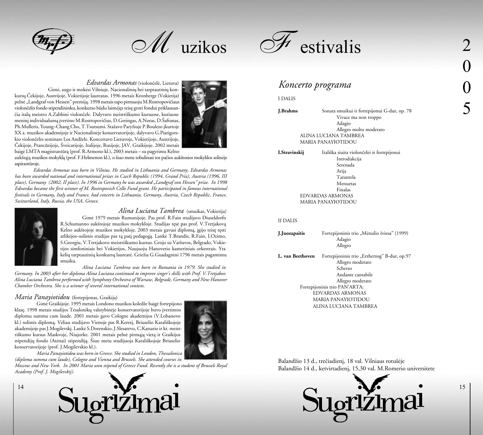M uzikos



# *Edvardas Armonas* (violonèelë, Lietuva)

Gimė, augo ir mokėsi Vilniuje. Nacionalinių bei tarptautinių konkursø Èekijoje, Austrijoje, Vokietijoje laureatas. 1996 metais Kronberge (Vokietija) pelnė "Landgraf von Hessen" premiją. 1998 metais tapo pirmuoju M.Rostropovičiaus violonèelës fondo stipendininku, konkurso bûdu laimëjæs teisæ groti fondui priklausanèia italø meistro A.Zabbini violonèele. Dalyvavo meistriðkumo kursuose, kuriuose menini individualuma ivertino M.Rostropovičius, D.Geringas, A.Noras, D.Šafranas, Ph.Mulleris, Young–Chang Cho, T.Tsutsumi. Stažavo Paryžiuje P.Boulezo įkurtoje XX a. muzikos akademijoje ir Nacionalinëje konservatorijoje, dalyvavo G.Piatigorskio violončelės seminare Los Andžele. Koncertavo Lietuvoje, Vokietijoje, Austrijoje, Čekijoje, Prancūzijoje, Šveicarijoje, Italijoje, Rusijoje, JAV, Graikijoje. 2002 metais baigë LMTA magistrantûrà (prof. R.Armono kl.), 2003 metais – su pagyrimu Kelno



aukðtàjà muzikos mokyklà (prof. F.Helmerson kl.), o ðiuo metu tobulinasi tos paèios aukðtosios mokyklos solinëje aspirantûroje.

*Edvardas Armonas was born in Vilnius. He studied in Lithuania and Germany. Edvardas Armonas has been awarded national and international prizes in Czech Republic (1994, Grand Prix), Austria (1996, III place), Germany (2002, II place). In 1996 in Germany he was awarded "Landgraf von Hessen" prize. In 1998 Edvardas became the first winner of M. Rostropovich Cello Fund grant. He participated in famous international festivals in Germany, Italy and France, had concerts in Lithuania, Germany, Austria, Czech Republic, France, Switzerland, Italy, Russia, the USA, Greece.* 



14

*Alina Luciana Tambrea* (smuikas, Vokietija) Gimë 1979 metais Rumunijoje. Pas prof. R.Fain studijavo Diuseldorfo R.Schumanno aukštojoje muzikos mokykloje. Studijas tęsė pas prof. V.Tretjakovą Kelno aukštojoje muzikos mokykloje. 2003 metais gavusi diplomą, įgijo teisę tęsti atlikëjos–solistës studijas pas tà patá pedagogà. Lankë T.Brandis, R.Fain, I.Ozimo, S.Georgiu, V.Tretjakovo meistriðkumo kursus. Grojo su Varðuvos, Belgrado, Vokietijos simfoniniais bei Vokietijos, Naujuoju Hanoverio kameriniais orkestrais. Yra kelių tarptautinių konkursų laureatė. Griežia G.Guadagnini 1796 metais pagamintu smuiku.

*Alina Luciana Tambrea was born in Rumania in 1979. She studied in Germany. In 2003 after her diploma Alina Luciana continued to improve singer's skills with Prof. V.Tretjakov. Alina Luciana Tambrea performed with Symphony Orchestra of Warsaw, Belgrade, Germany and New Hanover* 

### *Maria Panayiotidou* (fortepijonas, Graikija)

*Chamber Orchestra. She is a winner of several international contests.*

Gimė Graikijoje. 1995 metais Londono muzikos koledže baigė fortepijono klase. 1998 metais studijos Tesalonikų valstybinėje konservatorijoje buvo įvertintos diplomu summa cum laude. 2001 metais gavo Cologne akademijos (V.Lobanovo kl.) solistės diplomą. Vėliau studijavo Vienoje pas R.Kererį, Briuselio Karališkojoje akademijoje pas J.Mogilevskį. Lankė S.Dorenskio, J.Slesarevo, C.Katsario ir kt. meistriðkumo kursus Maskvoje, Niujorke. 2001 metais pelnë pirmàjà vietà ir Graikijos stipendijø fondo (Atënai) stipendijà. Ðiuo metu studijuoja Karaliðkojoje Briuselio konservatorijoje (prof. J.Mogilevskio kl.).



*Maria Panayiotidou was born in Greece. She studied in London, Thessalonica (diploma summa cum laude), Cologne and Vienna and Brussels. She attended courses in* 

*Moscow and New York. In 2001 Maria won stipend of Greece Fund. Recently she is a student of Brussels Royal Academy (Prof. J. Mogilevskij).*



# *Koncerto programa*

#### I DALIS

**J.Brahms** Sonata smuikui ir fortepijonui G-dur, op. 78 Vivace ma non troppo Adagio Allegro molto moderato ALINA LUCIANA TAMBREA MARIA PANAYIOTIDOU

**I.Stravinskij** Italiðka siuita violonèelei ir fortepijonui Introdukcija Serenada Arija Tarantela Menuetas Finalas EDVARDAS ARMONAS MARIA PANAYIOTIDOU

### II DALIS

| J.Juozapaitis    | Fortepijoninis trio "Mėnulio šviesa" (1999)<br>Adagio<br>Allegro |
|------------------|------------------------------------------------------------------|
| L. van Beethoven | Fortepijoninis trio "Erzherzog" B-dur, op.97                     |
|                  | Allegro moderato                                                 |
|                  | Scherzo                                                          |
|                  | Andante cantabile                                                |
|                  | Allegro moderato                                                 |
|                  | Fortepijoninis trio PAN'ARTA:                                    |
|                  | EDVARDAS ARMONAS                                                 |
|                  | MARIA PANAYIOTIDOU                                               |
|                  | ALINA LUCIANA TAMBREA                                            |

Balandžio 13 d., trečiadieni, 18 val. Vilniaus rotušėje Balandžio 14 d., ketvirtadienį, 15,30 val. M.Romerio universitete



0 0 5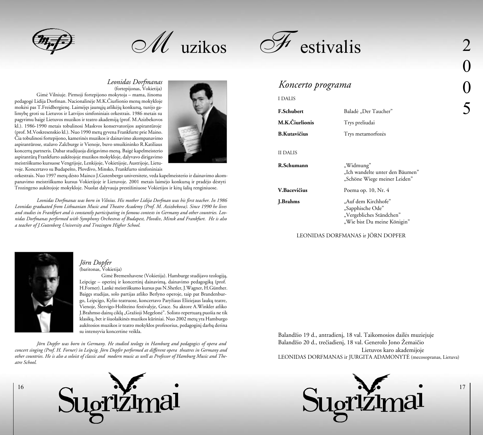M uzikos



### *Leonidas Dorfmanas* (fortepijonas, Vokietija)

Gimė Vilniuje. Pirmoji fortepijono mokytoja – mama, žinoma pedagogë Lidija Dorfman. Nacionalinëje M.K.Èiurlionio menø mokykloje mokėsi pas T.Freidbergienę. Laimėjęs jaunųjų atlikėjų konkursą, turėjo galimybæ groti su Lietuvos ir Latvijos simfoniniais orkestrais. 1986 metais su pagyrimu baigë Lietuvos muzikos ir teatro akademijà (prof. M.Azizbekovos kl.). 1986-1990 metais tobulinosi Maskvos konservatorijos aspirantûroje (prof. M.Voskresenskio kl.). Nuo 1990 metų gyvena Frankfurte prie Maino. Èia tobulinosi fortepijono, kamerinës muzikos ir dainavimo akompanavimo aspirantūrose, stažavo Zalcburge ir Vienoje, buvo smuikininko R.Katiliaus koncertø partneris. Dabar studijuoja dirigavimo menà. Baigë kapelmeisterio aspirantûrà Frankfurto aukðtojoje muzikos mokykloje, dalyvavo dirigavimo meistriðkumo kursuose Vengrijoje, Lenkijoje, Vokietijoje, Austrijoje, Lietuvoje. Koncertavo su Budapeðto, Plovdivo, Minsko, Frankfurto simfoniniais



orkestrais. Nuo 1997 metø dësto Mainco J.Gutenbergo universitete, veda kapelmeisterio ir dainavimo akompanavimo meistriðkumo kursus Vokietijoje ir Lietuvoje. 2001 metais laimëjo konkursà ir pradëjo dëstyti Trozingeno aukštojoje mokykloje. Nuolat dalyvauja prestižiniuose Vokietijos ir kitų šalių renginiuose.

*Leonidas Dorfmanas was born in Vilnius. His mother Lidija Dorfman was his first teacher. In 1986 Leonidas graduated from Lithuanian Music and Theatre Academy (Prof. M. Azizbekova). Since 1990 he lives and studies in Frankfurt and is constantly participating in famous contests in Germany and other countries. Leonidas Dorfmanas performed with Symphony Orchestras of Budapest, Plovdiv, Minsk and Frankfurt. He is also a teacher of J.Gutenberg University and Trozingen Higher School.* 

# *Koncerto programa*

### I DALIS

| <b>F.Schubert</b>   | Baladė "Der Taucher"                                                                               |
|---------------------|----------------------------------------------------------------------------------------------------|
| M.K.Ciurlionis      | Trys preliudai                                                                                     |
| <b>B.Kutavičius</b> | Trys metamorfozės                                                                                  |
| II DALIS            |                                                                                                    |
| R.Schumann          | "Widmung"<br>"Ich wandelte unter den Bäumen"<br>"Schöne Wiege meiner Leiden"                       |
| V.Bacevičius        | Poema op. 10, Nr. 4                                                                                |
| <b>J.Brahms</b>     | "Auf dem Kirchhofe"<br>"Sapphische Ode"<br>"Vergebliches Ständchen"<br>"Wie bist Du meine Königin" |

### LEONIDAS DORFMANAS ir JÖRN DOPFER



### *Jörn Dopfer*  (baritonas, Vokietija)

Gimë Bremenhavene (Vokietija). Hamburge studijavo teologijà, Leipcige – operinį ir koncertinį dainavimą, dainavimo pedagogiką (prof. H.Forner). Lankë meistriðkumo kursus pas N.Shetler, J.Wagner, H.Günther. Baigæs studijas, solo partijas atliko Berlyno operoje, taip pat Brandenburgo, Leipcigo, Kylio teatruose, koncertavo Paryžiaus Eliziejaus laukų teatre, Vienoje, Ðlezvigo-Holðteino festivalyje, Grace. Su aktore A.Winkler atliko J.Brahmso dainų ciklą "Gražioji Megelonė". Solisto repertuarą puošia ne tik klasikų, bet ir šiuolaikinės muzikos kūriniai. Nuo 2002 metų yra Hamburgo aukštosios muzikos ir teatro mokyklos profesorius, pedagoginį darbą derina su intensyvia koncertine veikla.

*Jörn Dopfer was born in Germany. He studied teology in Hamburg and pedagogics of opera and concert singing (Prof. H. Forner) in Leipcig. Jörn Dopfer performed at different opera theatres in Germany and other countries. He is also a soloist of classic and modern music as well as Professor of Hamburg Music and Theatre School.* 



Balandžio 19 d., antradienį, 18 val. Taikomosios dailės muziejuje Balandžio 20 d., trečiadieni, 18 val. Generolo Jono Žemaičio Lietuvos karo akademijoje LEONIDAS DORFMANAS ir JURGITA ADAMONYTË (mecosopranas, Lietuva)



0 0 5

17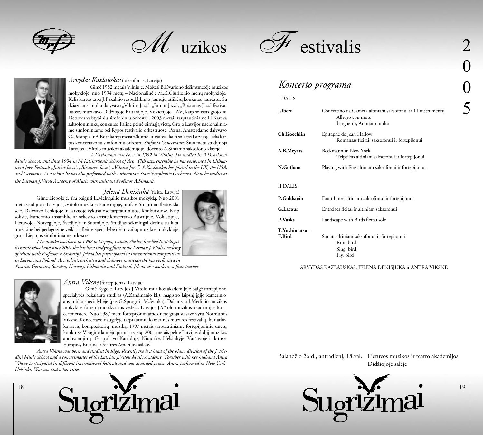

 $\mathscr{M}$  uzikos



### *Arvydas Kazlauskas* (saksofonas, Latvija)

Gimë 1982 metais Vilniuje. Mokësi B.Dvariono deðimtmetëje muzikos mokykloje, nuo 1994 metų – Nacionalinėje M.K.Čiurlionio menų mokykloje. Kelis kartus tapo J.Pakalnio respublikinio jaunųjų atlikėjų konkurso laureatu. Su džiazo ansambliu dalyvavo "Vilnius Jazz", "Junior Jazz", "Birštonas Jazz" festivaliuose, muzikavo Didžiojoje Britanijoje, Vokietijoje, JAV, kaip solistas grojo su Lietuvos valstybiniu simfoniniu orkestru. 2003 metais tarptautiniame H.Kareva saksofonininkų konkurse Taline pelnė pirmąją vietą. Grojo Latvijos nacionaliniame simfoniniame bei Rygos festivalio orkestruose. Pernai Amsterdame dalyvavo C.Delangle ir A.Bornkamp meistriðkumo kursuose, kaip solistas Latvijoje kelis kartus koncertavo su simfoniniu orkestru *Sinfonia Concertante*. Ðiuo metu studijuoja Latvijos J.Vîtolo muzikos akademijoje, docento A.Simanio saksofono klasëje.

*A.Kazlauskas was born in 1982 in Vilnius. He studied in B.Dvarionas Music School, and since 1994 in M.K.Ciurlionis School of Art. With jazz ensemble he has performed in Lithuanian Jazz Festivals "Junior Jazz", "Birstonas Jazz", "Vilnius Jazz". A.Kazlauskas has played in the UK, the USA, and Germany. As a soloist he has also performed with Lithuanian State Symphonic Orchestra. Now he studies at the Latvian J.Vîtols Academy of Music with assistant Professor A.Simanis.*

## *Jelena Denisjuka* (fleita, Latvija)

Gimë Liepojoje. Yra baigusi E.Melngailio muzikos mokyklà. Nuo 2001 metø studijuoja Latvijos J.Vîtolo muzikos akademijoje, prof. V.Strautinio fleitos klasëje. Dalyvavo Lenkijoje ir Latvijoje vykusiuose tarptautiniuose konkursuose. Kaip solistë, kamerinio ansamblio ar orkestro artistë koncertavo Austrijoje, Vokietijoje, Lietuvoje, Norvegijoje, Švedijoje ir Suomijoje. Studijas sėkmingai derina su kita muzikine bei pedagogine veikla – fleitos specialybe dėsto vaikų muzikos mokykloje, groja Liepojos simfoniniame orkestre.



*J.Denisjuka was born in 1982 in Liepaja, Latvia. She has finished E.Melngailis music school and since 2001 she has been studying flute at the Latvian J.Vîtols Academy of Music with Professor V.Strautiòð. Jelena has participated in international competitions in Latvia and Poland. As a soloist, orchestra and chamber musician she has performed in* 

*Austria, Germany, Sweden, Norway, Lithuania and Finland. Jelena also works as a flute teacher.*



18

### *Antra Viksne* (fortepijonas, Latvija)

Gimë Rygoje. Latvijos J.Vîtolo muzikos akademijoje baigë fortepijono specialybės bakalauro studijas (A.Zandmanio kl.), magistro laipsnį įgijo kamerinio ansamblio specialybëje (pas G.Sproge ir M.Ðvinka). Dabar yra J.Medinio muzikos mokyklos fortepijono skyriaus vedëja, Latvijos J.Vîtolo muzikos akademijos koncertmeisterė. Nuo 1987 metų fortepijoniniame duete groja su savo vyru Normunds Viksne. Koncertavo daugelyje tarptautinių kamerinės muzikos festivalių, kur atlieka latvių kompozitorių muziką. 1997 metais tarptautiniame fortepijoninių duetų konkurse Visagine laimėjo pirmąją vietą. 2001 metais pelnė Latvijos didįjį muzikos apdovanojimà. Gastroliavo Kanadoje, Niujorke, Helsinkyje, Varðuvoje ir kitose Europos, Rusijos ir Ðiaurës Amerikos salëse.

*Antra Viksne was born and studied in Riga. Recently she is a head of the piano division of the J. Medini Music School and a concertmaster of the Latvian J.Vîtols Music Academy. Together with her husband Antra Viksne participated in different international festivals and was awarded prizes. Antra performed in New York, Helsinki, Warsaw and other cities.* 





# *Koncerto programa*

### I DALIS

| J.Ibert                 | Concertino da Camera altiniam saksofonui ir 11 instrumentų<br>Allegro con moto<br>Larghetto, Animato molto |
|-------------------------|------------------------------------------------------------------------------------------------------------|
| Ch.Koechlin             | Epitaphe de Jean Harlow<br>Romansas fleitai, saksofonui ir fortepijonui                                    |
| A.B.Meyers              | Beckmann in New York<br>Triptikas altiniam saksofonui ir fortepijonui                                      |
| N.Gotham                | Playing with Fire altiniam saksofonui ir fortepijonui                                                      |
| II DALIS                |                                                                                                            |
| P.Goldstein             | Fault Lines altiniam saksofonui ir fortepijonui                                                            |
| G.Lacour                | Entrelacs fleitai ir altiniam saksofonui                                                                   |
| <b>P.Vasks</b>          | Landscape with Birds fleitai solo                                                                          |
| T.Yoshimatsu-<br>F.Bird | Sonata altiniam saksofonui ir fortepijonui<br>Run, bird<br>Sing, bird<br>Fly, bird                         |

#### ARVYDAS KAZLAUSKAS, JELENA DENISJUKA ir ANTRA VIKSNE

Balandžio 26 d., antradienį, 18 val. Lietuvos muzikos ir teatro akademijos Didžiojoje salėje

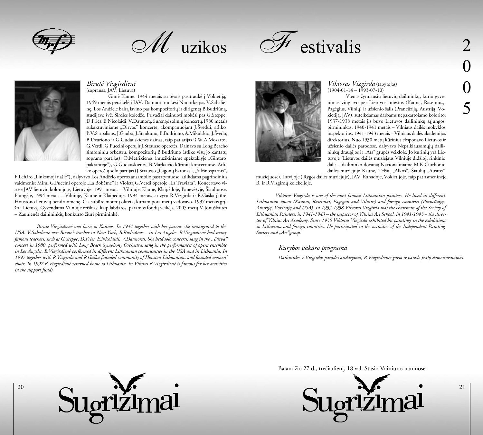

 $\mathscr{M}$  uzikos





### *Birutë Vizgirdienë*  (sopranas, JAV, Lietuva)

Gimė Kaune. 1944 metais su tėvais pasitraukė į Vokietiją, 1949 metais persikëlë á JAV. Dainuoti mokësi Niujorke pas V.Sabaliene. Los Andžele balsa lavino pas kompozitoriu ir dirigenta B.Budriūna, studijavo švč. Širdies koledže. Privačiai dainuoti mokėsi pas G.Steppe, D.Fries, E.Nicolaidi, V.Daunorà. Surengë soliniø koncertø.1980 metais sukaktuviniame "Dirvos" koncerte, akompanuojant J.Švedui, atliko P.V.Sarpaliaus, J.Gaubo, J.Stankūno, B.Budriūno, A.Mikulskio, J.Švedo, B.Dvariono ir G.Gudauskienës dainas, taip pat arijas ið W.A.Mozarto, G.Verdi, G.Puccini operø ir J.Strausso operetës. Dainavo su Long Beacho simfoniniu orkestru, kompozitoriu B.Budriūno (atliko visu jo kantatu soprano partijas), O.Metrikienės (muzikiniame spektaklyje "Gintaro pakrantëje"), G.Gudauskienės, B.Markaičio kūrinių koncertuose. Atliko operečių solo partijas (J.Strausso "Čigonų baronas", "Šikšnosparnis",

F.Leháro "Linksmoji našlė"), dalyvavo Los Andželo operos ansamblio pastatymuose, atlikdama pagrindinius vaidmenis: Mimi G.Puccini operoje "La Bohème" ir Violeta G.Verdi operoje "La Traviata". Koncertavo visose JAV lietuvių kolonijose, Lietuvoje: 1991 metais – Vilniuje, Kaune, Klaipėdoje, Panevėžyje, Šiauliuose, Plungëje, 1994 metais – Vilniuje, Kaune ir Klaipëdoje. 1994 metais su vyru R.Vizgirda ir R.Gaðka ákûrë Houstono lietuvių bendruomene. Čia subūrė moterų okteta, kuriam pora metų vadovavo. 1997 metais grižo į Lietuvą. Gyvendama Vilniuje reiškiasi kaip labdaros, paramos fondų veikėja. 2005 metų V.Jonuškaitės – Zaunienės dainininkių konkurso žiuri pirmininkė.

*Birutë Vizgirdienë was born in Kaunas. In 1944 together with her parents she immigrated to the USA. V.Sabalienë was Birutë's teacher in New York, B.Budriûnas – in Los Angeles. B.Vizgirdienë had many famous teachers, such as G.Steppe, D.Fries, E.Nicolaidi, V.Daunoras. She held solo concerts, sang in the ,,Dirva" concert in 1980, performed with Long Beach Symphony Orchestra, sang in the performances of opera ensemble in Los Angeles. B.Vizgirdienë performed in different Lithuanian communities in the USA and in Lithuania. In 1997 together with R.Vizgirda and R.Gaðka founded community of Houston Lithuanians and founded women' choir. In 1997 B.Vizgirdienë returned home to Lithuania. In Vilnius B.Vizgirdienë is famous for her activities in the support funds.* 



# *Viktoras Vizgirda* (tapytojas)  $(1904-01-14-1993-07-10)$

Vienas žymiausių lietuvių dailininkų, kurio gyvenimas vingiavo per Lietuvos miestus (Kauną, Raseinius, Pagėgius, Vilnių) ir užsienio šalis (Prancūziją, Austriją, Vokietijà, JAV), suteikdamas darbams nepakartojamo kolorito. 1937-1938 metais jis buvo Lietuvos dailininkų sąjungos pirmininkas, 1940-1941 metais – Vilniaus dailës mokyklos inspektorius, 1941-1943 metais – Vilniaus dailës akademijos direktorius. Nuo 1930 metų kūrinius eksponavo Lietuvos ir užsienio dailės parodose, dalyvavo Nepriklausomųjų dailininku draugijos ir "Ars" grupės veikloje. Jo kūrinių yra Lietuvoje (Lietuvos dailės muziejaus Vilniuje didžioji rinkinio dalis – dailininko dovana; Nacionaliniame M.K.Èiurlionio dailės muziejuje Kaune, Telšių "Alkos", Šiaulių "Aušros"

muziejuose), Latvijoje ( Rygos dailës muziejuje), JAV, Kanadoje, Vokietijoje, taip pat asmeninëje B. ir R.Vizgirdų kolekcijoje.

*Viktoras Vizgirda is one of the most famous Lithuanian painters. He lived in different Lithuanian towns (Kaunas, Raseiniai, Pagëgiai and Vilnius) and foreign countries (Prancûzijà, Austrijà, Vokietijà and USA). In 1937-1938 Viktoras Vizgirda was the chairman of the Society of Lithuanian Painters, in 1941-1943 – the inspector of Vilnius Art School, in 1941-1943 – the director of Vilnius Art Academy. Since 1930 Viktoras Vizgirda exhibited his paintings in the exhibitions in Lithuania and foreign countries. He participated in the activities of the Independent Painting*  Society and "Ars" group.

# *Kûrybos vakaro programa*

*Dailininko V.Vizgirdos parodos atidarymas, B.Vizgirdienës garso ir vaizdo áraðø demonstravimas.*



Balandžio 27 d., trečiadienį, 18 val. Stasio Vainiūno namuose

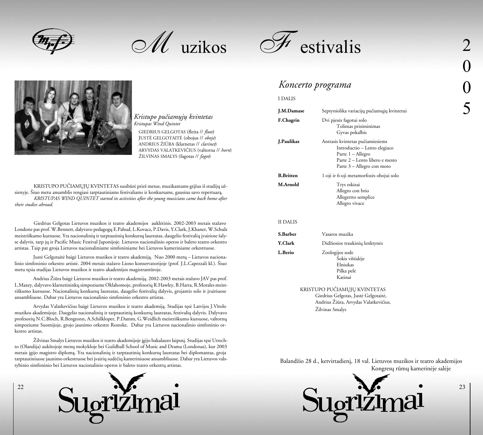M uzikos





### *Kristupo puèiamøjø kvintetas Kristupas Wind Quintet*

GIEDRIUS GELGOTAS (fleita // *flute*) JUSTË GELGOTAITË (obojus // *oboje*) ANDRIUS ÞIÛRA (klarnetas // *clarinet*) ARVYDAS VALATKEVIÈIUS (valtorna // *horn*) ŽILVINAS SMALYS (fagotas // *fagot*)

KRISTUPO PUČIAMŲJŲ KVINTETAS susibūrė prieš metus, muzikantams grįžus iš studijų užsienyje. Šiuo metu ansamblis rengiasi tarptautiniams festivaliams ir konkursams, gausina savo repertuarą. *KRISTUPAS WIND QUINTET started its activities after the young musicians came back home after their studies abroad.*

Giedrius Gelgotas Lietuvos muzikos ir teatro akademijos auklėtinis. 2002-2003 metais stažavo Londone pas prof. W.Bennett, dalyvavo pedagogų E.Pahud, L.Kovacz, P.Davis, Y.Clark, J.Khaner, W.Schulz meistriškumo kursuose. Yra nacionalinių ir tarptautinių konkursų laureatas, daugelio festivalių įvairiose šalyse dalyvis, tarp jø ir Pacific Music Festival Japonijoje. Lietuvos nacionalinio operos ir baleto teatro orkestro artistas. Taip pat groja Lietuvos nacionaliniame simfoniniame bei Lietuvos kameriniame orkestruose.

Justė Gelgotaitė baigė Lietuvos muzikos ir teatro akademiją. Nuo 2000 metų – Lietuvos nacionalinio simfoninio orkestro artistė. 2004 metais stažavo Liono konservatorijoje (prof. J.L.Capezzali kl.). Šiuo metu tæsia studijas Lietuvos muzikos ir teatro akademijos magistrantûroje.

Andrius Žiūra baigė Lietuvos muzikos ir teatro akademiją. 2002-2003 metais stažavo JAV pas prof. L.Maxey, dalyvavo klarnetininkų simpoziume Oklahomoje, profesorių R.Hawley, B.Harra, R.Morales meistriškumo kursuose. Nacionalinių konkursų laureatas, daugelio festivalių dalyvis, grojantis solo ir įvairiuose ansambliuose. Dabar yra Lietuvos nacionalinio simfoninio orkestro artistas.

Arvydas Valatkevièius baigë Lietuvos muzikos ir teatro akademijà. Studijas tæsë Latvijos J.Vîtolo muzikos akademijoje. Daugelio nacionalinių ir tarptautinių konkursų laureatas, festivalių dalyvis. Dalyvavo profesorių N.C.Bloch, R.Bengtonn, A.Schilkloper, P.Damm, G.Weidlich meistriškumo kursuose, valtornų simpoziume Suomijoje, grojo jaunimo orkestre Rostoke. Dabar yra Lietuvos nacionalinio simfoninio orkestro artistas.

Žilvinas Smalys Lietuvos muzikos ir teatro akademijoje įgijo bakalauro laipsnį. Studijas tęsė Utrechto (Olandija) aukðtojoje menø mokykloje bei Guildhall School of Music and Drama (Londonas), kur 2003 metais įgijo magistro diplomą. Yra nacionalinių ir tarptautinių konkursų laureatas bei diplomantas, groja tarptautiniuose jaunimo orkestruose bei įvairių sudėčių kameriniuose ansambliuose. Dabar yra Lietuvos valstybinio simfoninio bei Lietuvos nacionalinio operos ir baleto teatro orkestru artistas.



22

# *Koncerto programa*

#### I DALIS

| J.M.Damase        | Septyniolika variacijų pučiamųjų kvintetui                                                                                                            |
|-------------------|-------------------------------------------------------------------------------------------------------------------------------------------------------|
| F.Chagrin         | Dvi pjesės fagotui solo<br>Tolimas prisiminimas<br>Gyvas pokalbis                                                                                     |
| <b>J.Paulikas</b> | Antrasis kvintetas pučiamiesiems<br>Introductio - Lento elegiaco<br>Parte 1 - Allegro<br>Parte 2 – Lento libero e mesto<br>Parte 3 - Allegro con moto |
| <b>B.Britten</b>  | 1-oji ir 6-oji metamorfozės obojui solo                                                                                                               |
| M.Arnold          | Trys eskizai<br>Allegro con brio<br>Allegretto semplice<br>Allegro vivace                                                                             |
| <b>II DALIS</b>   |                                                                                                                                                       |
| S.Barber          | Vasaros muzika                                                                                                                                        |
| <b>Y.Clark</b>    | Didžiosios traukinių lenktynės                                                                                                                        |
| L.Berio           | Zoologijos sode<br>Sokis vištidėje<br>Elniukas<br>Pilka pelė<br>Katinai                                                                               |

KRISTUPO PUČIAMUJU KVINTETAS Giedrius Gelgotas, Justë Gelgotaitë, Andrius Žiūra, Arvydas Valatkevičius, Žilvinas Smalys

Balandžio 28 d., ketvirtadienį, 18 val. Lietuvos muzikos ir teatro akademijos Kongresų rūmų kamerinėje salėje

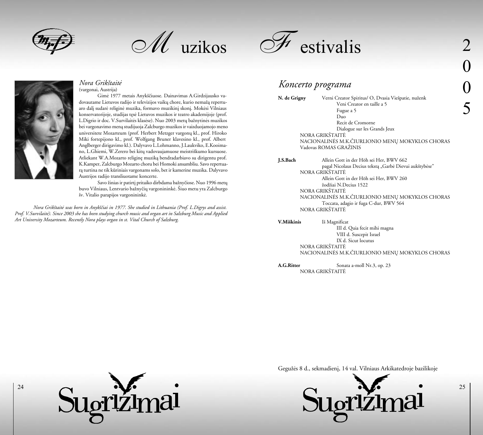

 $\mathscr{M}$  uzikos



### *Nora Grikðtaitë*  (vargonai, Austrija)

Gimë 1977 metais Anykðèiuose. Dainavimas A.Girdzijausko vadovautame Lietuvos radijo ir televizijos vaikų chore, kurio nemažą repertuaro dalį sudarė religinė muzika, formavo muzikinį skonį. Mokėsi Vilniaus konservatorijoje, studijas tæsë Lietuvos muzikos ir teatro akademijoje (prof. L.Digrio ir doc. V.Survilaitės klasėse). Nuo 2003 metų bažnytinės muzikos bei vargonavimo menà studijuoja Zalcburgo muzikos ir vaizduojamojo meno universitete Mozarteum (prof. Herbert Metzger vargonų kl., prof. Hiroko Miki fortepijono kl., prof. Wolfgang Bruner klavesino kl., prof. Albert Anglberger dirigavimo kl.). Dalyvavo L.Lohmanno, J.Laukviko, E.Kooimano, L.Ghiemi, W.Zerero bei kitø vadovaujamuose meistriðkumo kursuose. Atliekant W.A.Mozarto religinæ muzikà bendradarbiavo su dirigentu prof. K.Kamper, Zalcburgo Mozarto choru bei Homoki ansambliu. Savo repertuarà turtina ne tik kûriniais vargonams solo, bet ir kamerine muzika. Dalyvavo Austrijos radijo transliuotame koncerte.

Savo žinias ir patirtį pritaiko dirbdama bažnyčiose. Nuo 1996 metų buvo Vilniaus, Lentvario bažnyčių vargonininkė. Šiuo metu yra Zalcburgo ðv. Vitalio parapijos vargonininkë.

*Nora Grikðtaitë was born in Anykðèiai in 1977. She studied in Lithuania (Prof. L.Digrys and assist. Prof. V.Survilaitë). Since 2003 she has been studying church music and organ art in Salzburg Music and Applied Art University Mozarteum. Recently Nora plays organ in st. Vital Church of Salzburg.* 



# *Koncerto programa*

N. de Grigny Verni Creator Spiritus/ O, Dvasia Viešpatie, nuženk Veni Creator en taille a 5 Fugue a 5 Duo Recit de Cromorne Dialogue sur les Grands Jeux NORA GRIKŠTAITĖ NACIONALINËS M.K.ÈIURLIONIO MENØ MOKYKLOS CHORAS Vadovas ROMAS GRAŽINIS

**J.S.Bach** Allein Gott in der Höh sei Her, BWV 662 pagal Nicolaus Decius tekstą "Garbė Dievui aukštybėse" NORA GRIKŠTAITĖ Allein Gott in der Höh sei Her, BWV 260 žodžiai N.Decius 1522 NORA GRIKŠTAITĖ NACIONALINĖS M.K.ČIURLIONIO MENŲ MOKYKLOS CHORAS Toccata, adagio ir fuga C-dur, BWV 564 NORA GRIKŠTAITĖ

**V.Miðkinis** Ið Magnificat

 III d. Quia fecit mihi magna VIII d. Suscepit Israel IX d. Sicut locutus NORA GRIKŠTAITĖ NACIONALINËS M.K.ÈIURLIONIO MENØ MOKYKLOS CHORAS

**A.G.Ritter** Sonata a-moll Nr.3, op. 23 NORA GRIKŠTAITĖ

Gegužės 8 d., sekmadienį, 14 val. Vilniaus Arkikatedroje bazilikoje

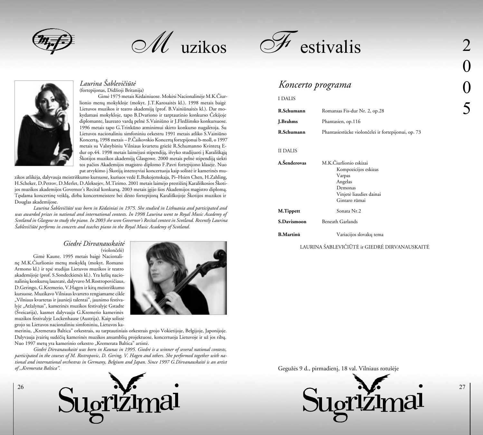

M uzikos



# *Laurina Ðablevièiûtë* (fortepijonas, Didžioji Britanija)

Gimë 1975 metais Këdainiuose. Mokësi Nacionalinëje M.K.Èiurlionio menø mokykloje (mokyt. J.T.Karosaitës kl.). 1998 metais baigë Lietuvos muzikos ir teatro akademiją (prof. B.Vainiūnaitės kl.). Dar mokydamasi mokykloje, tapo B.Dvariono ir tarptautinio konkurso Èekijoje diplomante, laureato vardą pelnė S.Vainiūno ir J.Fledžinsko konkursuose. 1996 metais tapo G.Trinkûno atminimui skirto konkurso nugalëtoja. Su Lietuvos nacionaliniu simfoniniu orkestru 1991 metais atliko S.Vainiûno Koncertà, 1998 metais – P.Èaikovskio Koncertà fortepijonui b-moll, o 1997 metais su Valstybiniu Vilniaus kvartetu griežė R.Schumanno Kvintetą Edur op.44. 1998 metais laimėjusi stipendiją, išvyko studijuoti į Karališkąją Škotijos muzikos akademiją Glasgowe. 2000 metais pelnė stipendiją siekti tos paèios Akademijos magistro diplomo F.Pavri fortepijono klasëje. Nuo pat atvykimo į Škotiją intensyviai koncertuoja kaip solistė ir kamerinės mu-

zikos atlikëja, dalyvauja meistriðkumo kursuose, kuriuos vedë E.Bukojemskaja, Pi–Hsien Chen, H.Zahling, H.Scheker, D.Petrov, D.Merlet, D.Aleksejev, M.Tirimo. 2001 metais laimėjo prestižinį Karališkosios Škotijos muzikos akademijos Governor's Recital konkursà. 2003 metais ágijo ðios Akademijos magistro diplomà. Tesdama koncertine veiklą, dirba koncertmeistere bei dėsto fortepijoną Karališkojoje Škotijos muzikos ir Douglas akademijose.

*Laurina Ðablevièiûtë was born in Këdainiai in 1975. She studied in Lithuania and participated and was awarded prizes in national and international contests. In 1998 Laurina went to Royal Music Academy of Scotland in Glasgow to study the piano. In 2003 she won Governor's Recital contest in Scotland. Recently Laurina Ðablevièiûtë performs in concerts and teaches piano in the Royal Music Academy of Scotland.* 

### *Giedrë Dirvanauskaitë* (violonèelë)

Gimë Kaune. 1995 metais baigë Nacionalinæ M.K.Èiurlionio menø mokyklà (mokyt. Romano Armono kl.) ir tæsë studijas Lietuvos muzikos ir teatro akademijoje (prof. S.Sondeckienës kl.). Yra keliø nacionalinių konkursų laureatė, dalyvavo M.Rostropovičiaus, D.Geringo, G.Kremerio, V.Hagen ir kitø meistriðkumo kursuose. Muzikavo Vilniaus kvarteto rengiamame cikle "Vilniaus kvartetas ir jaunieji talentai", jaunimo festivalyje "Atžalynas", kamerinės muzikos festivalyje Gstadte (Ðveicarija), kasmet dalyvauja G.Kremerio kamerinës muzikos festivalyje Lockenhause (Austrija). Kaip solistë grojo su Lietuvos nacionaliniu simfoniniu, Lietuvos ka-

26



meriniu, "Kremerata Baltica" orkestrais, su tarptautiniais orkestrais grojo Vokietijoje, Belgijoje, Japonijoje. Dalyvauja įvairių sudėčių kamerinės muzikos ansamblių projektuose, koncertuoja Lietuvoje ir už jos ribų. Nuo 1997 metų yra kamerinio orkestro "Kremerata Baltica" artistė.

*Giedrë Dirvanauskaitë was born in Kaunas in 1995. Giedrë is a winner of several national contests, participated in the courses of M. Rostropovic, D. Gering, V. Hagen and others. She performed together with national and international orchestras in Germany, Belgium and Japan. Since 1997 G.Dirvanauskaitë is an artist of ,,Kremerata Baltica".* 





# *Koncerto programa*

| I DALIS                         |                                                                                                                            |
|---------------------------------|----------------------------------------------------------------------------------------------------------------------------|
| R.Schumann                      | Romansas Fis-dur Nr. 2, op.28                                                                                              |
| J.Brahms                        | Phantasien, op.116                                                                                                         |
| R.Schumann                      | Phantasiestücke violončelei ir fortepijonui, op. 73                                                                        |
| <b>II DALIS</b><br>A.Šenderovas | M.K.Čiurlionio eskizai<br>Kompozicijos eskizas<br>Varpas<br>Angelas<br>Demonas<br>Vinjetė liaudies dainai<br>Gintaro rūmai |
| M.Tippett                       | Sonata Nr.2                                                                                                                |
| <b>S.Davismoon</b>              | <b>Beneath Garlands</b>                                                                                                    |
| <b>B.Martinů</b>                | Variacijos slovakų tema                                                                                                    |
|                                 |                                                                                                                            |

## LAURINA ÐABLEVIÈIÛTË ir GIEDRË DIRVANAUSKAITË

Gegužės 9 d., pirmadienį, 18 val. Vilniaus rotušėje

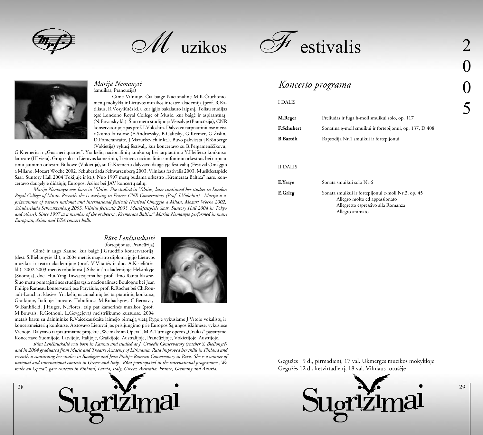M uzikos



### *Marija Nemanytë*  (smuikas, Prancûzija)

Gimë Vilniuje. Èia baigë Nacionalinæ M.K.Èiurlionio menø mokyklà ir Lietuvos muzikos ir teatro akademijà (prof. R.Katiliaus, R.Vosyliūtės kl.), kur įgijo bakalauro laipsnį. Toliau studijas tęsė Londono Royal College of Music, kur baigė ir aspirantūrą (N.Boyarsky kl.). Ðiuo metu studijuoja Versalyje (Prancûzija), CNR konservatorijoje pas prof. I.Voloshin. Dalyvavo tarptautiniuose meistriškumo kursuose (F.Andrievsky, B.Galitsky, G.Kremer, G.Žislin, D.Pomerancaitė, J.Mazurkevich ir kt.). Buvo pakviesta į Krönberge (Vokietija) vykusi festivali, kur koncertavo su B.Pergamenščikovu,

G.Kremeriu ir "Guarneri quartet". Yra keliø nacionaliniø konkursø bei tarptautinio Y.Heifetzo konkurso laureatë (III vieta). Grojo solo su Lietuvos kameriniu, Lietuvos nacionaliniu simfoniniu orkestrais bei tarptautiniu jaunimo orkestru Bukowe (Vokietija), su G.Kremeriu dalyvavo daugelyje festivalių (Festival Omaggio a Milano, Mozart Woche 2002, Schubertiada Schwarzenberg 2003, Vilniaus festivalis 2003, Musikfestspiele Saar, Suntory Hall 2004 Tokijuje ir kt.). Nuo 1997 metų būdama orkestro "Kremerata Baltica" nare, koncertavo daugelyje didžiųjų Europos, Azijos bei JAV koncertų salių.

*Marija Nemanytë was born in Vilnius. She studied in Vilnius, later continued her studies in London Royal College of Music. Recently she is studying in France CNR Conservatory (Prof. I.Voloshin). Marija is a prizewinner of various national and international festivals (Festival Omaggio a Milan, Mozart Woche 2002, Schubertiada Schwarzenberg 2003, Vilnius festivalis 2003, Musikfestspiele Saar, Suntory Hall 2004 in Tokyo and others). Since 1997 as a member of the orchestra "Kremerata Baltica" Marija Nemanytë performed in many European, Asian and USA concert halls.*

# *Rûta Lenèiauskaitë*

(fortepijonas, Prancûzija) Gimė ir augo Kaune, kur baigė J.Gruodžio konservatoriją (dëst. S.Bielionytës kl.), o 2004 metais magistro diplomà ágijo Lietuvos muzikos ir teatro akademijoje (prof. V.Vitaitës ir doc. A.Kisieliûtës kl.). 2002-2003 metais tobulinosi J.Sibelius'o akademijoje Helsinkyje (Suomija), doc. Hui-Ying Tawaststjerna bei prof. Ilmo Ranta klasëse. Ðiuo metu pomagistrines studijas tæsia nacionalinëse Boulogne bei Jean Philipe Rameau konservatorijose Paryžiuje, prof. R.Rochet bei Ch.Rouault-Louchart klasėse. Yra kelių nacionalinių bei tarptautinių konkursų Graikijoje, Italijoje laureatë. Tobulinosi M.Rubackytës, C.Bernava, W.Banhfield, J.Huges, N.Flores, taip pat kamerinës muzikos (prof. M.Bouvais, R.Gothoni, L.Gevgejeva) meistriðkumo kursuose. 2004

28



metais kartu su dainininke R.Vaicekauskaite laimëjo pirmàjà vietà Rygoje vykusiame J.Vîtolo vokalistø ir koncertmeisteriø konkurse. Atstovavo Lietuvai jos prisijungimo prie Europos Sàjungos iðkilmëse, vykusiose Vienoje. Dalyvavo tarptautiniame projekte "We make an Opera", M.A.Turnage operos "Graikas" pastatyme. Koncertavo Suomijoje, Latvijoje, Italijoje, Graikijoje, Australijoje, Prancûzijoje, Vokietijoje, Austrijoje.

*Rûta Lenèiauskaitë was born in Kaunas and studied at J. Gruodis Conservatory (teacher S. Bielionytë) and in 2004 graduated from Music and Theatre Academy of Lithuania. Rûta improved her skills in Finland and recently is continuing her studies in Boulogne and Jean Philipe Rameau Conservatory in Paris. She is a winner of national and international contests in Greece and Italy. Rûta participated in the international programme "We make an Opera", gave concerts in Finland, Latvia, Italy, Greece, Australia, France, Germany and Austria.*





# *Koncerto programa*

#### I DALIS

| M.Reger           | Preliudas ir fuga h-moll smuikui solo, op. 117          |
|-------------------|---------------------------------------------------------|
| <b>F.Schubert</b> | Sonatina g-moll smuikui ir fortepijonui, op. 137, D 408 |
| <b>B.Bartók</b>   | Rapsodija Nr.1 smuikui ir fortepijonui                  |
|                   |                                                         |

## II DALIS

**E.Ysave** Sonata smuikui solo Nr.6 **E.Grieg** Sonata smuikui ir fortepijonui c-moll Nr.3, op. 45 Allegro molto ed appassionato Allegretto espressivo alla Romanza Allegro animato

Gegužės 9 d., pirmadienį, 17 val. Ukmergės muzikos mokykloje Gegužės 12 d., ketvirtadienį, 18 val. Vilniaus rotušėje

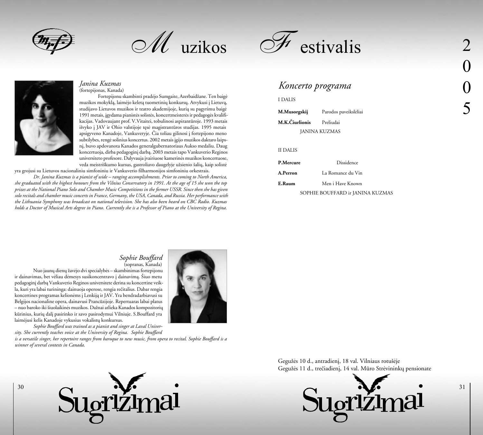

M uzikos



### *Janina Kuzmas*  (fortepijonas, Kanada)

Fortepijonu skambinti pradėjo Sumgaite, Azerbaidžane. Ten baigė muzikos mokyklą, laimėjo keletą tuometinių konkursų. Atvykusi į Lietuvą, studijavo Lietuvos muzikos ir teatro akademijoje, kurià su pagyrimu baigë 1991 metais, ágydama pianistës solistës, koncertmeisterës ir pedagogës kvalifikacijas. Vadovaujant prof. V.Vitaitei, tobulinosi aspirantûroje. 1993 metais išvyko į JAV ir Ohio valstijoje tęsė magistrantūros studijas. 1995 metais apsigyveno Kanadoje, Vankuveryje. Èia toliau gilinosi á fortepijono meno subtilybes, rengë solinius koncertus. 2002 metais ágijo muzikos daktaro laipsnį, buvo apdovanota Kanados generalgubernatoriaus Aukso medaliu. Daug koncertuoja, dirba pedagoginá darbà. 2003 metais tapo Vankuverio Reginos universiteto profesore. Dalyvauja ávairiuose kamerinës muzikos koncertuose, veda meistriškumo kursus, gastroliavo daugelyje užsienio šalių, kaip solistė

yra grojusi su Lietuvos nacionaliniu simfoniniu ir Vankuverio filharmonijos simfoniniu orkestrais.

*Dr. Janina Kuzmas is a pianist of wide – ranging accomplishments. Prior to coming to North America, she graduated with the highest honours from the Vilnius Conservatory in 1991. At the age of 15 she won the top prizes at the National Piano Solo and Chamber Music Competitions in the former USSR. Since then she has given solo recitals and chamber music concerts in France, Germany, the USA, Canada, and Russia. Her performance with the Lithuania Symphony was broadcast on national television. She has also been heard on CBC Radio. Kuzmas holds a Doctor of Musical Arts degree in Piano. Currently she is a Professor of Piano at the University of Regina.*



# *Koncerto programa*

### I DALIS

| M.Musorgskij         | Parodos paveikslėliai |
|----------------------|-----------------------|
| M.K.Ciurlionis       | Preliudai             |
| <b>JANINA KUZMAS</b> |                       |

### II DALIS

| P.Mercure | Dissidence                       |
|-----------|----------------------------------|
| A.Perron  | La Romance du Vin                |
| E.Raum    | Men i Have Known                 |
|           | SOPHIE BOUFFARD ir JANINA KUZMAS |

### *Sophie Bouffard*  (sopranas, Kanada)

Nuo jaunų dienų žavėjo dvi specialybės – skambinimas fortepijonu ir dainavimas, bet vėliau dėmesys susikoncentravo i dainavima. Šiuo metu pedagoginá darbà Vankuverio Reginos universitete derina su koncertine veikla, kuri yra labai turininga: dainuoja operose, rengia reèitalius. Dabar rengia koncertines programas kelionėms į Lenkiją ir JAV. Yra bendradarbiavusi su Belgijos nacionaline opera, dainavusi Prancûzijoje. Repertuaras labai platus – nuo baroko iki šiuolaikinės muzikos. Dažnai atlieka Kanados kompozitorių kûrinius, kuriø dalá pasirinko ir savo pasirodymui Vilniuje. S.Bouffard yra laimėjusi kelis Kanadoje vykusius vokalistų konkursus.

*Sophie Bouffard was trained as a pianist and singer at Laval University. She currently teaches voice at the University of Regina. Sophie Bouffard* 

*is a versatile singer, her repertoire ranges from baroque to new music, from opera to recital. Sophie Bouffard is a winner of several contests in Canada.*





Gegužės 10 d., antradienį, 18 val. Vilniaus rotušėje Gegužės 11 d., trečiadienį, 14 val. Mūro Strėvininkų pensionate

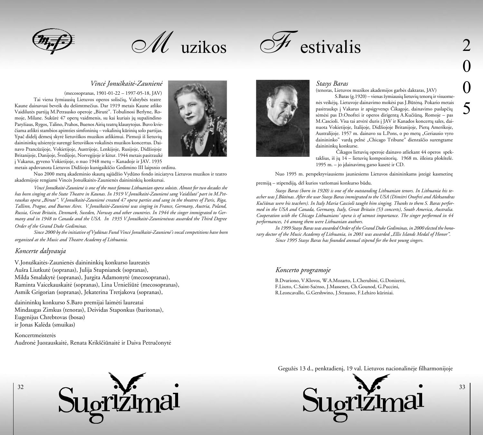

 $\mathscr{M}$  uzikos



# *Vincë Jonuðkaitë-Zaunienë*

(mecosopranas, 1901-01-22 – 1997-05-18, JAV) Tai viena žymiausių Lietuvos operos solisčių, Valstybės teatre Kaune dainavusi beveik du deðimtmeèius. Dar 1919 metais Kaune atliko Vaidilutės partija M.Petrausko operoje "Birutė". Tobulinosi Berlyne, Romoje, Milane. Sukūrė 47 operų vaidmenis, su kai kuriais jų supažindino Paryžiaus, Rygos, Talino, Prahos, Buenos Airių teatrų klausytojus. Buvo kvieèiama atlikti stambios apimties simfoniniø – vokaliniø kûriniø solo partijas. Ypač didelį dėmesį skyrė lietuviškos muzikos atlikimui. Pirmoji iš lietuvių dainininkų užsienyje surengė lietuviškos vokalinės muzikos koncertus. Dainavo Prancūzijoje, Vokietijoje, Austrijoje, Lenkijoje, Rusijoje, Didžiojoje Britanijoje, Danijoje, Švedijoje, Norvegijoje ir kitur. 1944 metais pasitraukė á Vakarus, gyveno Vokietijoje, o nuo 1948 metø – Kanadoje ir JAV. 1935



metais apdovanota Lietuvos Didžiojo kunigaikščio Gedimino III laipsnio ordinu.

Nuo 2000 metų akademinio skautų sajūdžio Vydūno fondo iniciatyva Lietuvos muzikos ir teatro akademijoje rengiami Vincės Jonuškaitės-Zaunienės dainininkių konkursai.

*Vincë Jonuðkaitë-Zaunienë is one of the most famous Lithuanian opera soloists. Almost for two decades she has been singing at the State Theatre in Kaunas. In 1919 V.Jonuðkaitë-Zaunienë sang Vaidilutë' part in M.Petrauskas opera "Birutë". V.Jonuðkaitë-Zaunienë created 47 opera parties and sang in the theatres of Paris, Riga, Tallinn, Prague, and Buenos Aires. V.Jonuðkaitë-Zaunienë was singing in France, Germany, Austria, Poland, Russia, Great Britain, Denmark, Sweden, Norway and other countries. In 1944 the singer immigrated to Germany and in 1948 to Canada and the USA. In 1935 V.Jonuðkaitë-Zaunienëwas awarded the Third Degree Order of the Grand Duke Gediminas.* 

*Since 2000 by the initiative of Vydûnas Fund Vincë Jonuðkaitë-Zaunienë's vocal competitions have been organized at the Music and Theatre Academy of Lithuania.* 

## *Koncerte dalyvauja*

V.Jonuðkaitës-Zaunienës dainininkiø konkurso laureatës Auðra Liutkutë (sopranas), Julija Stupnianek (sopranas), Milda Smalakytë (sopranas), Jurgita Adamonytë (mecosopranas), Raminta Vaicekauskaitė (sopranas), Lina Urniežiūtė (mecosopranas), Asmik Grigorian (sopranas), Jekaterina Tretjakova (sopranas),

dainininkø konkurso S.Baro premijai laimëti laureatai Mindaugas Zimkus (tenoras), Deividas Staponkus (baritonas), Eugenijus Chrebtovas (bosas) ir Jonas Kalëda (smuikas)

Koncertmeisterës Audronë Juozauskaitë, Renata Krikðèiûnaitë ir Daiva Petruèonytë



## *Stasys Baras*

(tenoras, Lietuvos muzikos akademijos garbës daktaras, JAV)

S.Baras (g. 1920) – vienas žymiausių lietuvių tenorų ir visuomenës veikëjø. Lietuvoje dainavimo mokësi pas J.Bûtënà. Pokario metais pasitraukæs á Vakarus ir apsigyvenæs Èikagoje, dainavimo paslapèiø sėmėsi pas D.Onofrei ir operos dirigentą A.Kučiūną, Romoje – pas M.Cascioli. Visa tai atvėrė duris į JAV ir Kanados koncertų sales, dainuota Vokietijoje, Italijoje, Didžiojoje Britanijoje, Pietų Amerikoje, Australijoje. 1957 m. dainavo su L.Pons, o po metu "Geriausio vyro dainininko" varda pelne "Chicago Tribune" dienraščio surengtame dainininkø konkurse.

 Èikagos lietuviø operoje dainavo atliekant 44 operos spektaklius, iš jų  $14$  – lietuvių kompozitorių. 1968 m. išleista plokštelė. 1995 m. – jo įdainavimų garso kasetė ir CD.

Nuo 1995 m. perspektyviausiems jauniesiems Lietuvos dainininkams įsteigė kasmetinę

premiją – stipendiją, dėl kurios varžomasi konkurso būdu.

*Stasys Baras (born in 1920) is one of the outstanding Lithuanian tenors. In Lithuania his teacher was J.Bûtënas. After the war Stasys Baras immigrated to the USA (Dimitri Onofrei and Aleksandras Kuèiûnas were his teachers). In Italy Maria Cascioli taught him singing. Thanks to them S. Baras performed in the USA and Canada, Germany, Italy, Great Britain (53 concerts), South America, Australia. Cooperation with the Chicago Lithuanians' opera is of utmost importance. The singer performed in 44 performances, 14 among them were Lithuanian authors.*

*In 1999 Stasys Baras was awarded Order of the Grand Duke Gediminas, in 2000 elected the honorary doctor of the Music Academy of Lithuania, in 2001 was awarded "Ellis Islands Medal of Honor". Since 1995 Stasys Baras has founded annual stipend for the best young singers.*

## *Koncerto programoje*

 B.Dvariono, V.Klovos, W.A.Mozarto, L.Cherubini, G.Donizetti, F.Liszto, C.Saint-Saënso, J.Massenet, Ch.Gounod, G.Puccini, R.Leoncavallo, G.Gershwino, J.Strausso, F.Leháro kûriniai.

Gegužės 13 d., penktadienį, 19 val. Lietuvos nacionalinėje filharmonijoje



33

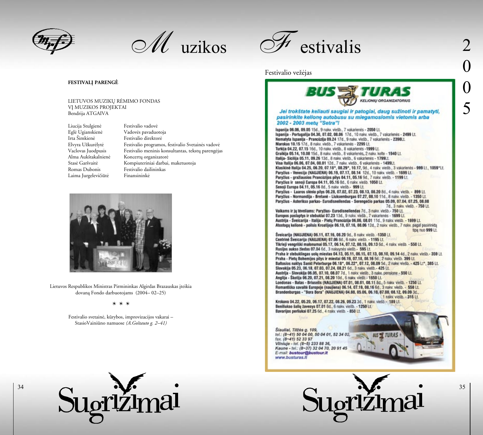

 $\mathscr{M}$  uzikos



# Festivalio vežėjas

### **FESTIVALÁ PARENGË**

LIETUVOS MUZIKØ RËMIMO FONDAS VI MUZIKOS PROJEKTAI Bendrija ATGAIVA

Liucija Stulgienë Festivalio vadovë Eglë Ugianskienë Vadovës pavaduotoja Irta Šimkienė Festivalio direktorė Romas Dubonis Festivalio dailininkas Laima Jurgelevičiūtė Finansininkė

Elvyra Užkurëlytë Festivalio programos, festivalio Svetainës vadovë Vaclovas Juodpusis Festivalio meninis konsultantas, tekstų parengėjas Alma Aukðtakalnienë Koncertø organizatorë Stasė Garšvaitė Kompiuteriniai darbai, maketuotoja



Lietuvos Respublikos Ministras Pirmininkas Algirdas Brazauskas įteikia dovanà Fondo darbuotojams (2004– 02–25)

#### *\* \* \**

Festivalio svetainë, kûrybos, improvizacijos vakarai – StasioVainiûno namuose *(A.Goðtauto g. 2–41)*



34

**BUS EXTURE KELIONIU ORGANIZATORIUS** Jei trokštate keliauti sauglai ir patoglai, daug sužinoti ir pamatyti, pasirinkite kelionę autobusu su miegamosiomis vietomis arba 2002 - 2003 metu "Setra"!

Ispanija 06.06, 09.05 15d., 9 nakv. viešb., 7 vakarienės - 2050 Lt.<br>Ispanija - Portugalija 04.30, 07.02, 08.06 17d., 10 nakv. viešb., 7 vakarienės - 2499 Lt. Nematyta Ispanija - Prancúzija 09.24 17d., 9 nakv. viešb., 7 vakarienės - 2390Lt. Marokas 10.15 17d., 8 nakv. viešb., 7 vakarienės - 2299 Lt. Turkija 04.22, 07.15 16d., 10 nakv. viešb., 8 vakarienės -1999 Lt. Graikija 05.14, 10.08 15d., 8 nakv. viešb., 8 vakarienės, 2 nakv. kelte - 1940 Lt. Italija- Sicilija 05.11, 09.26 13d., 8 nakv. viešb., 6 vakarienės - 1799Lt. Visa Italija 06.06, 07.04, 08.01 12d., 7 nakv. viešb., 6 vakarienės - 1499Lt. Klasikinė Italija 04.25, 06.20, 07.18\*, 08.29\*, 10.17, 9d., 4 naky. viešb., 3 vakarienės - 999 Lt., 1059\*Lt. Paryžius - Venecija (NAUJIENA) 06.19, 07.17, 08.14 12d., 10 nakv. viešb. - 1699 Lt. Paryžius - gražiausios Prancūzijos pilys 04.11, 05.16 9d., 7 nakv. viešb. - 1199 Lt. Paryžius ir senoji Europa 04.11, 05.16 8d., 6 nakv. viešb. 1050 Lt. Senoji Europa 04.11, 05.16 8d., 5 nakv. viešb. - 999 Lt. Paryžius - Luaros slėnio pilys 06.28, 07.02, 07.23, 08.13, 08.20 8d., 4 naky. viešb. - 899 Lt. Paryžius - Normandija - Bretanė - Liuksemburgas 07.27, 08.10 11d., 8 naky, viešb. - 1350 Lt. Paryžius - Asterikso parkas - Eurodisneilendas - Serengečio parkas 05.09, 07.04, 07.25, 08.08 7d., 3 naky. viešb. - 750 Lt. Vaikams ir jų tėveliams: Paryžius- Eurodisneilendas 7d., 3 naky. viešb.- 750 Lt. Europos paslaptys ir stebuklai 07.23 13d., 9 nakv. viešb., 7 vakarienės - 1699 Lt. Austrija - Šveicarija - Italija - Pietų Prancūzija 06.06, 08.01 11d., 9 naky. viešb. - 1699 Lt. Atostogų kelionė - polisis Kroatijoje 06.18, 07.16, 08.06 12d., 2 naky. viešb., 7 naky. pagal pasirinktą tipa nuo 999 Lt. Šveicarija (NAUJIENA) 05.11, 07.16, 08.20 9d., 8 nakv. viešb. -1350 Lt. Centrinė Šveicarija (NALUIENA) 07.06 8d., 6 nakv. viešb. - 1195 Lt. Tikrieji vengriški malonumai 05.17, 06.14, 07.12, 08.16, 09.13 6d., 4 nakv. viešb. - 550 Lt. Rusijos aukso žiedas 07.04 6d., 3 nakyynės viešb. - 595 Lt. Praha ir stebuklingas uolų miestas 04.13, 05.11, 06.15, 07.13, 08.10, 09.14 4d., 2 nakv. viešb.- 359 Lt.<br>Praha - Pietų Bohemijos pilys ir miestai 06.19, 07.18, 08.16 5d., 2 nakv. viešb. 399 Lt. Baltosios naktys Sankt Peterburge 06.18\*, 06.22\*, 07.12, 08.09 5d., 2 naky. viešb. - 425 Lt\*, 385 Lt. Slovakija 05.23, 06.18, 07.03, 07.24, 08.21 6d., 3 nakv. viešb.- 425 Lt. Austrija - Slovakija 05.05, 07.10, 08.07 7d., 1 nakv. viešb., 3 nakv. pensione - 550 Lt. Anglija - Škotija 06.20, 07.21, 08.20 10d., 6 nakv. viešb. - 1650 Lt. Londonas - Batas - Briuselis (NAUJIENA) 07.01, 08.01, 08.11 8d., 5 naky viešb. - 1250 Lt. Romantiška savaitė Europoje (naujiena) 06.14, 07.19, 08.16 6d., 3 nakv. viešb. - 550 Lt. Brandenburgas - "Bora Bora" (NAIJJIENA) 04.08, 05.06, 06.10, 07.08, 08.12, 09.09 3d., 1 naky. viešb. - 315 Lt. Krokuva 04.22, 05.20, 06.17, 07.22, 08.26, 09.23 3d., 1 naky. viešb. - 189 Lt. Beniliukso šalių žavesys 07.01 8d., 6 nakv. viešb. - 1250 Lt.

Šiauliai, Tilžės g. 109, tol.: (8-41) 50 04 00, 50 04 01, 52 34 02, fax. (8-41) 52 33 97 Winiuje - tel. (8-5) 233 88 36,<br>Kaune - tel.: (8-37) 32 04 70, 20 91 45<br>E-mail: bustour@bustour.lt www.busturas.lt

Bavarijos perliukai 07.25 6d., 4 rakv. viešb. - 850 Lt.



**BUS SE TURAS** 

0 0 5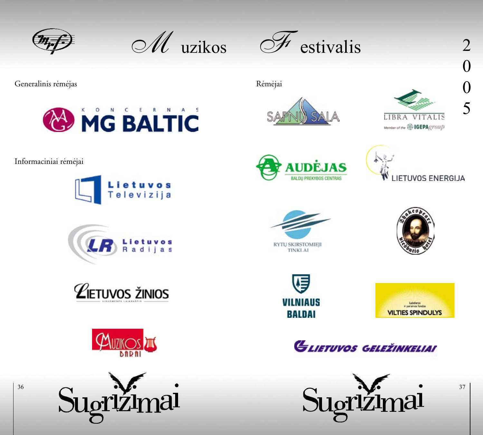

 $\mathscr{M}$  uzikos



Generalinis rëmëjas Rëmëjas Rëmëjai



Informaciniai rëmëjai















0

0

5